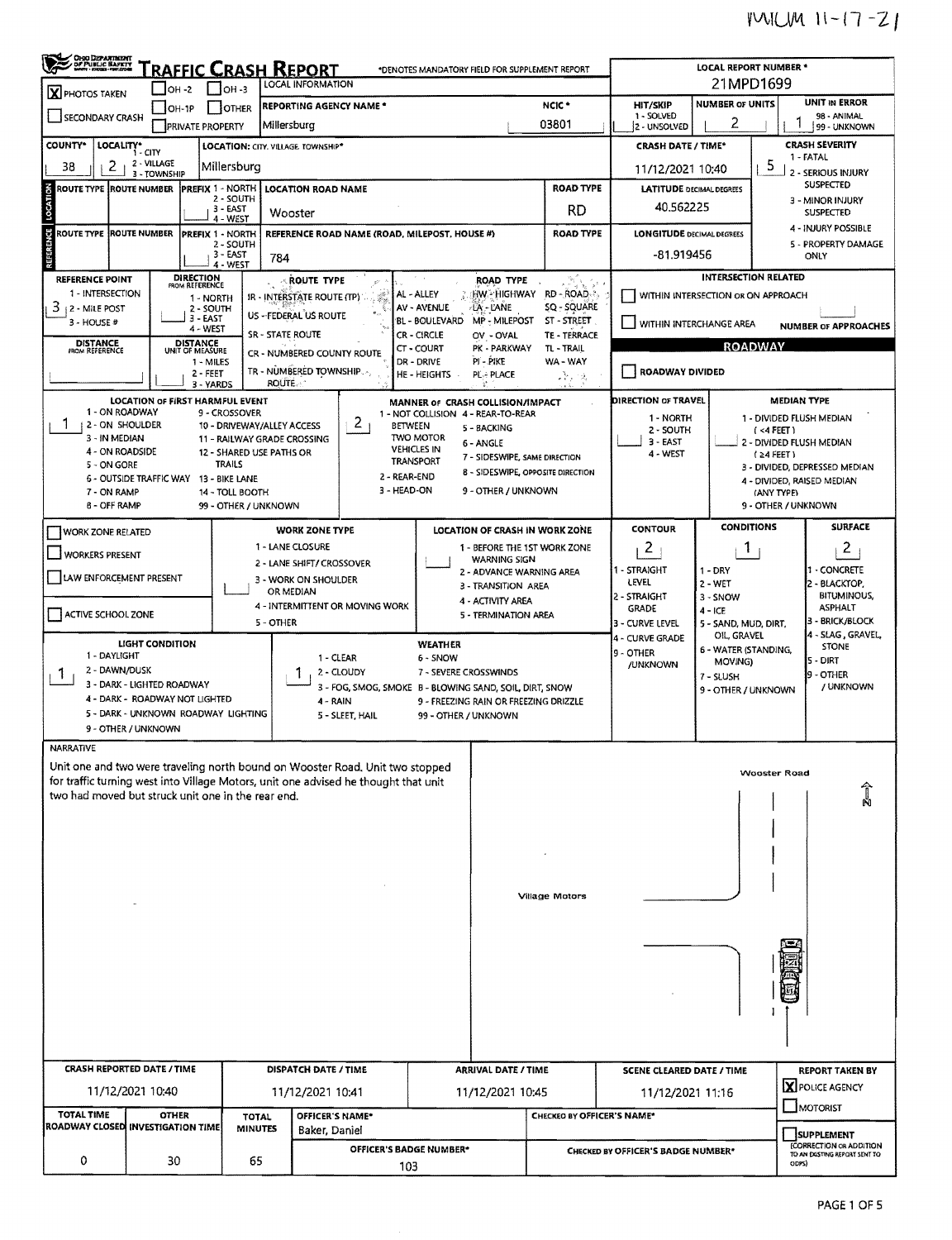| OHO DEPARTMENT                                     |                                                              |                                    |                                           | <b>RAFFIC CRASH REPORT</b>                    |                                                                                     |                                        |                                          | *DENOTES MANDATORY FIELD FOR SUPPLEMENT REPORT |                                    | <b>LOCAL REPORT NUMBER *</b>        |                                         |                                                             |
|----------------------------------------------------|--------------------------------------------------------------|------------------------------------|-------------------------------------------|-----------------------------------------------|-------------------------------------------------------------------------------------|----------------------------------------|------------------------------------------|------------------------------------------------|------------------------------------|-------------------------------------|-----------------------------------------|-------------------------------------------------------------|
| X PHOTOS TAKEN                                     | IOH -2                                                       |                                    |                                           | <b>LOCAL INFORMATION</b>                      |                                                                                     |                                        |                                          |                                                |                                    | 21MPD1699                           |                                         |                                                             |
|                                                    |                                                              | IOH-1P                             | <b>OTHER</b>                              |                                               | <b>REPORTING AGENCY NAME *</b>                                                      |                                        |                                          | NCIC <sup>*</sup>                              | <b>HIT/SKIP</b>                    | <b>NUMBER OF UNITS</b>              |                                         | <b>UNIT IN ERROR</b>                                        |
| <b>SECONDARY CRASH</b>                             |                                                              |                                    | <b>PRIVATE PROPERTY</b>                   | Millersburg                                   |                                                                                     |                                        |                                          | 03801                                          | 1 - SOLVED<br>2 - UNSOLVED         | 2                                   |                                         | 98 - ANIMAL<br>99 - UNKNOWN                                 |
| COUNTY*                                            | LOCALITY* CITY                                               |                                    |                                           | LOCATION: CITY. VILLAGE. TOWNSHIP*            |                                                                                     |                                        |                                          |                                                | <b>CRASH DATE / TIME*</b>          |                                     |                                         | <b>CRASH SEVERITY</b><br>1 - FATAL                          |
| 2<br>38                                            | 2 - VILLAGE<br>3 - TOWNSHIP                                  |                                    | Millersburg                               |                                               |                                                                                     |                                        |                                          |                                                | 11/12/2021 10:40                   |                                     | 5                                       | 2 - SERIOUS INJURY                                          |
| LOCATION<br><b>ROUTE TYPE IROUTE NUMBER</b>        |                                                              |                                    | <b>IPREFIX 1 - NORTH</b><br>2 - SOUTH     | <b>LOCATION ROAD NAME</b>                     |                                                                                     |                                        |                                          | <b>ROAD TYPE</b>                               | <b>LATITUDE DECIMAL DEGREES</b>    |                                     |                                         | <b>SUSPECTED</b><br>3 - MINOR INJURY                        |
|                                                    |                                                              |                                    | 3 - EAST<br>4 - WEST                      | Wooster                                       |                                                                                     |                                        |                                          | <b>RD</b>                                      | 40.562225                          |                                     | <b>SUSPECTED</b><br>4 - INJURY POSSIBLE |                                                             |
| č<br>ROUTE TYPE ROUTE NUMBER                       |                                                              |                                    | PREFIX 1 - NORTH<br>2 - SOUTH             |                                               | REFERENCE ROAD NAME (ROAD, MILEPOST, HOUSE #)                                       |                                        |                                          | <b>ROAD TYPE</b>                               | <b>LONGITUDE DECIMAL DEGREES</b>   |                                     |                                         | 5 - PROPERTY DAMAGE                                         |
|                                                    |                                                              |                                    | 3 - EAST<br>4 - WEST                      | 784                                           |                                                                                     |                                        |                                          |                                                | -81.919456                         |                                     |                                         | ONLY                                                        |
| REFERENCE POINT                                    |                                                              | <b>DIRECTION</b><br>FROM REFERENCE |                                           | <b>ROUTE TYPE</b>                             |                                                                                     |                                        | ROAD TYPE                                |                                                |                                    | <b>INTERSECTION RELATED</b>         |                                         |                                                             |
| 1 - INTERSECTION                                   |                                                              |                                    | 1 - NORTH                                 | IR - INTERSTATE ROUTE (TP)                    | 靏                                                                                   | AL - ALLEY<br>AV - AVENUE              | HW - HIGHWAY<br>LA - LANE                | RD - ROAD<br>SQ - SQUARE                       |                                    | WITHIN INTERSECTION OR ON APPROACH  |                                         |                                                             |
| 3<br>12 MILE POST<br>3 - HOUSE#                    |                                                              |                                    | 2 - SOUTH<br>3 - EAST                     | US -- FEDERAL US ROUTE                        |                                                                                     | BL - BOULEVARD                         | MP - MILEPOST                            | ST - STREET                                    | WITHIN INTERCHANGE AREA            |                                     |                                         | <b>NUMBER OF APPROACHES</b>                                 |
| <b>DISTANCE</b>                                    |                                                              | <b>DISTANCE</b>                    | 4 - WEST                                  | <b>SR - STATE ROUTE</b>                       |                                                                                     | CR - CIRCLE                            | OV - OVAL                                | TE - TERRACE                                   |                                    |                                     |                                         |                                                             |
| FROM REFERENCE                                     |                                                              | UNIT OF MEASURE                    | 1 - MILES                                 |                                               | CR - NUMBERED COUNTY ROUTE                                                          | <b>CT - COURT</b><br>DR - DRIVE        | PK - PARKWAY<br>PI - PIKE                | TL - TRAIL<br>WA - WAY                         |                                    |                                     | <b>ROADWAY</b>                          |                                                             |
|                                                    |                                                              |                                    | $2 - FEET$<br>3 - YARDS                   | TR - NUMBERED TOWNSHIP<br>ROUTE.              |                                                                                     | HE - HEIGHTS                           | <b>PL- PLACE</b>                         | 诗词                                             | <b>ROADWAY DIVIDED</b>             |                                     |                                         |                                                             |
|                                                    |                                                              |                                    | <b>LOCATION OF FIRST HARMFUL EVENT</b>    |                                               |                                                                                     |                                        | MANNER OF CRASH COLLISION/IMPACT         |                                                | DIRECTION OF TRAVEL                |                                     | <b>MEDIAN TYPE</b>                      |                                                             |
| 1 - ON ROADWAY<br>2 - ON SHOULDER                  |                                                              |                                    | 9 - CROSSOVER                             | 10 - DRIVEWAY/ALLEY ACCESS                    | $\mathbf{2}$<br><b>BETWEEN</b>                                                      |                                        | 1 - NOT COLLISION 4 - REAR-TO-REAR       |                                                | 1 - NORTH                          |                                     |                                         | 1 - DIVIDED FLUSH MEDIAN                                    |
| 3 - IN MEDIAN                                      |                                                              |                                    |                                           | 11 - RAILWAY GRADE CROSSING                   |                                                                                     | TWO MOTOR                              | 5 - BACKING<br>6 - ANGLE                 |                                                | 2 - SOUTH<br>$3 - EAST$            |                                     | $($ <4 FEET )                           | 2 - DIVIDED FLUSH MEDIAN                                    |
| 4 - ON ROADSIDE<br>5 - ON GORE                     |                                                              |                                    | 12 - SHARED USE PATHS OR<br><b>TRAILS</b> |                                               |                                                                                     | <b>VEHICLES IN</b><br><b>TRANSPORT</b> | 7 - SIDESWIPE, SAME DIRECTION            |                                                | 4 - WEST                           |                                     | $(24$ FEET)                             |                                                             |
|                                                    | <b>6 - OUTSIDE TRAFFIC WAY</b>                               |                                    | 13 - BIKE LANE                            |                                               | 2 - REAR-END                                                                        |                                        |                                          | <b>B - SIDESWIPE, OPPOSITE DIRECTION</b>       |                                    |                                     |                                         | 3 - DIVIDED, DEPRESSED MEDIAN<br>4 - DIVIDED, RAISED MEDIAN |
| 7 - ON RAMP                                        |                                                              |                                    | 14 - TOLL BOOTH                           |                                               | 3 - HEAD ON                                                                         |                                        | 9 - OTHER / UNKNOWN                      |                                                |                                    |                                     | (ANY TYPE)                              |                                                             |
| 8 - OFF RAMP                                       |                                                              |                                    | 99 - OTHER / UNKNOWN                      |                                               |                                                                                     |                                        |                                          |                                                |                                    |                                     | 9 - OTHER / UNKNOWN                     |                                                             |
| WORK ZONE RELATED                                  |                                                              |                                    |                                           | <b>WORK ZONE TYPE</b>                         |                                                                                     |                                        |                                          | LOCATION OF CRASH IN WORK ZONE                 | <b>CONTOUR</b>                     | <b>CONDITIONS</b>                   |                                         | <b>SURFACE</b>                                              |
| <b>WORKERS PRESENT</b>                             |                                                              |                                    |                                           | 1 - LANE CLOSURE<br>2 - LANE SHIFT/ CROSSOVER |                                                                                     |                                        | WARNING SIGN                             | 1 - BEFORE THE 1ST WORK ZONE                   | $\overline{2}$                     | 1                                   |                                         | $\overline{c}$                                              |
| LAW ENFORCEMENT PRESENT                            |                                                              |                                    |                                           | 3 - WORK ON SHOULDER                          |                                                                                     |                                        | 2 - ADVANCE WARNING AREA                 |                                                | 1 - STRAIGHT<br><b>LEVEL</b>       | $1 - DRY$<br>$2 - WET$              |                                         | $\cdot$ CONCRETE<br>2 - BLACKTOP,                           |
|                                                    |                                                              |                                    |                                           | OR MEDIAN                                     |                                                                                     |                                        | 3 - TRANSITION AREA<br>4 - ACTIVITY AREA |                                                | 2 - STRAIGHT                       | 3 - SNOW                            |                                         | <b>BITUMINOUS,</b>                                          |
| ACTIVE SCHOOL ZONE                                 |                                                              |                                    |                                           | 5 - OTHER                                     | 4 - INTERMITTENT OR MOVING WORK                                                     |                                        | 5 - TERMINATION AREA                     |                                                | <b>GRADE</b>                       | $4 - ICE$                           |                                         | ASPHALT<br>3 - BRICK/BLOCK                                  |
|                                                    |                                                              |                                    |                                           |                                               |                                                                                     |                                        |                                          |                                                | 3 - CURVE LEVEL<br>4 - CURVE GRADE | 5 - SAND, MUD, DIRT,<br>OIL, GRAVEL |                                         | 4 - SLAG, GRAVEL,                                           |
| 1 - DAYLIGHT                                       | <b>LIGHT CONDITION</b>                                       |                                    |                                           |                                               | 1 - CLEAR                                                                           | WEATHER<br>6 - SNOW                    |                                          |                                                | 9 - OTHER                          | 6 - WATER (STANDING,                |                                         | <b>STONE</b><br>5 - DIRT                                    |
| 2 - DAWN/DUSK<br>Т.                                |                                                              |                                    |                                           |                                               | 2 - CLOUDY                                                                          | 7 - SEVERE CROSSWINDS                  |                                          |                                                | /UNKNOWN                           | MOVING)<br>7 - SLUSH                |                                         | 9 - OTHER                                                   |
|                                                    | 3 - DARK - LIGHTED ROADWAY<br>4 - DARK - ROADWAY NOT LIGHTED |                                    |                                           |                                               | 3 - FOG, SMOG, SMOKE B - BLOWING SAND, SOIL, DIRT, SNOW                             |                                        |                                          |                                                |                                    | 9 - OTHER / UNKNOWN                 |                                         | / UNKNOWN                                                   |
|                                                    |                                                              |                                    | 5 - DARK - UNKNOWN ROADWAY LIGHTING       |                                               | 4 - RAIN<br>5 - SLEET, HAIL                                                         | 99 - OTHER / UNKNOWN                   | 9 - FREEZING RAIN OR FREEZING DRIZZLE    |                                                |                                    |                                     |                                         |                                                             |
|                                                    | 9 - OTHER / UNKNOWN                                          |                                    |                                           |                                               |                                                                                     |                                        |                                          |                                                |                                    |                                     |                                         |                                                             |
| <b>NARRATIVE</b>                                   |                                                              |                                    |                                           |                                               |                                                                                     |                                        |                                          |                                                |                                    |                                     |                                         |                                                             |
|                                                    |                                                              |                                    |                                           |                                               | Unit one and two were traveling north bound on Wooster Road, Unit two stopped       |                                        |                                          |                                                |                                    |                                     | <b>Wooster Road</b>                     |                                                             |
| two had moved but struck unit one in the rear end. |                                                              |                                    |                                           |                                               | for traffic turning west into Village Motors, unit one advised he thought that unit |                                        |                                          |                                                |                                    |                                     |                                         |                                                             |
|                                                    |                                                              |                                    |                                           |                                               |                                                                                     |                                        |                                          |                                                |                                    |                                     |                                         |                                                             |
|                                                    |                                                              |                                    |                                           |                                               |                                                                                     |                                        |                                          |                                                |                                    |                                     |                                         |                                                             |
|                                                    |                                                              |                                    |                                           |                                               |                                                                                     |                                        |                                          |                                                |                                    |                                     |                                         |                                                             |
|                                                    |                                                              |                                    |                                           |                                               |                                                                                     |                                        |                                          |                                                |                                    |                                     |                                         |                                                             |
|                                                    |                                                              |                                    |                                           |                                               |                                                                                     |                                        |                                          |                                                |                                    |                                     |                                         |                                                             |
|                                                    |                                                              |                                    |                                           |                                               |                                                                                     |                                        |                                          | Village Motors                                 |                                    |                                     |                                         |                                                             |
|                                                    |                                                              |                                    |                                           |                                               |                                                                                     |                                        |                                          |                                                |                                    |                                     |                                         |                                                             |
|                                                    |                                                              |                                    |                                           |                                               |                                                                                     |                                        |                                          |                                                |                                    |                                     |                                         |                                                             |
|                                                    |                                                              |                                    |                                           |                                               |                                                                                     |                                        |                                          |                                                |                                    |                                     |                                         |                                                             |
|                                                    |                                                              |                                    |                                           |                                               |                                                                                     |                                        |                                          |                                                |                                    |                                     |                                         |                                                             |
|                                                    |                                                              |                                    |                                           |                                               |                                                                                     |                                        |                                          |                                                |                                    |                                     |                                         |                                                             |
|                                                    |                                                              |                                    |                                           |                                               |                                                                                     |                                        |                                          |                                                |                                    |                                     |                                         |                                                             |
|                                                    |                                                              |                                    |                                           |                                               |                                                                                     |                                        |                                          |                                                |                                    |                                     |                                         |                                                             |
| <b>CRASH REPORTED DATE / TIME</b>                  |                                                              |                                    |                                           | DISPATCH DATE / TIME                          |                                                                                     |                                        | <b>ARRIVAL DATE / TIME</b>               |                                                | <b>SCENE CLEARED DATE / TIME</b>   |                                     |                                         | <b>REPORT TAKEN BY</b>                                      |
|                                                    | 11/12/2021 10:40                                             |                                    |                                           |                                               | 11/12/2021 10:41                                                                    |                                        | 11/12/2021 10:45                         |                                                | 11/12/2021 11:16                   |                                     |                                         | <b>X</b> POLICE AGENCY                                      |
| <b>TOTAL TIME</b>                                  | <b>OTHER</b>                                                 |                                    | <b>TOTAL</b>                              |                                               | OFFICER'S NAME*                                                                     |                                        |                                          | CHECKED BY OFFICER'S NAME*                     |                                    |                                     |                                         | MOTORIST                                                    |
| ROADWAY CLOSED INVESTIGATION TIME                  |                                                              |                                    | <b>MINUTES</b>                            |                                               | Baker, Daniel                                                                       |                                        |                                          |                                                |                                    |                                     |                                         | <b>SUPPLEMENT</b>                                           |
|                                                    |                                                              |                                    |                                           |                                               | <b>OFFICER'S BADGE NUMBER*</b>                                                      |                                        |                                          |                                                | CHECKED BY OFFICER'S BADGE NUMBER* |                                     |                                         | (CORRECTION OR ADDITION<br>TO AN EXISTING REPORT SENT TO    |
| 0                                                  | 30                                                           |                                    | 65                                        |                                               | 103                                                                                 |                                        |                                          |                                                |                                    |                                     | ODPS)                                   |                                                             |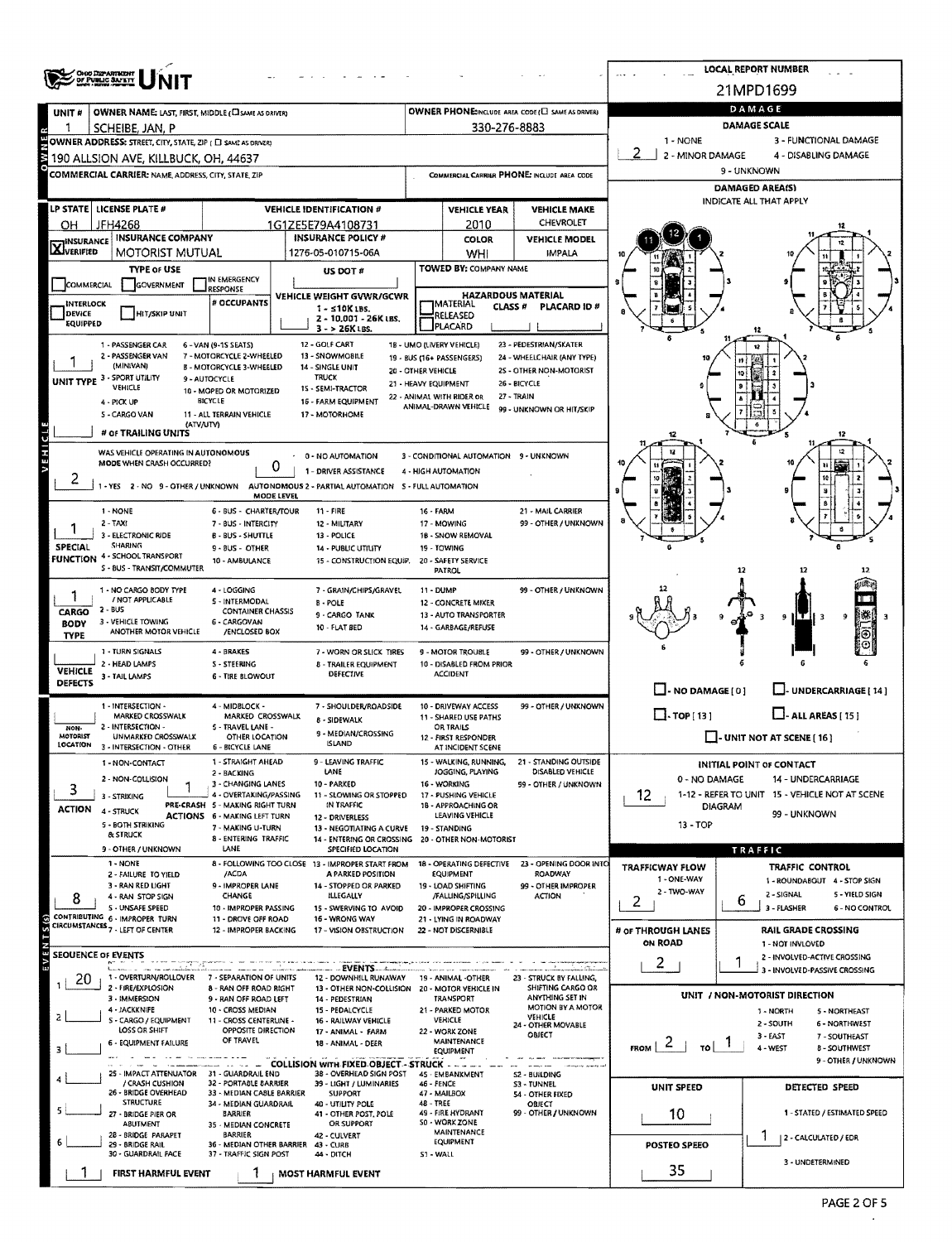| <b>OHO DEPARTMENT</b><br>OF PUBLIC SAFETT |                                                                                 |                                                             |            |                                                                                                                   |                      |                                                    |                                                       |                                       |                | <b>LOCAL REPORT NUMBER</b>                                     |
|-------------------------------------------|---------------------------------------------------------------------------------|-------------------------------------------------------------|------------|-------------------------------------------------------------------------------------------------------------------|----------------------|----------------------------------------------------|-------------------------------------------------------|---------------------------------------|----------------|----------------------------------------------------------------|
|                                           |                                                                                 |                                                             |            |                                                                                                                   |                      |                                                    |                                                       |                                       |                | 21MPD1699                                                      |
| UNIT #                                    | <b>OWNER NAME: LAST, FIRST, MIDDLE (CI SAME AS DRIVER)</b>                      |                                                             |            |                                                                                                                   |                      |                                                    | OWNER PHONE:INCLUDE AREA CODE (E) SAME AS DRIVER!     |                                       | DAMAGE         |                                                                |
|                                           | SCHEIBE, JAN, P<br>OWNER ADDRESS: STREET, CITY, STATE, ZIP ( EI SAME AS DRIVER) |                                                             |            |                                                                                                                   |                      | 330-276-8883                                       |                                                       | 1 - NONE                              | DAMAGE SCALE   | 3 - FUNCTIONAL DAMAGE                                          |
|                                           | 190 ALLSION AVE, KILLBUCK, OH, 44637                                            |                                                             |            |                                                                                                                   |                      |                                                    |                                                       | 2 - MINOR DAMAGE                      |                | 4 - DISABLING DAMAGE                                           |
|                                           | COMMERCIAL CARRIER: NAME, ADDRESS, CITY, STATE, ZIP                             |                                                             |            |                                                                                                                   |                      |                                                    | COMMERCIAL CARRIER PHONE: INCLUDE AREA CODE           |                                       | 9 - UNKNOWN    |                                                                |
|                                           |                                                                                 |                                                             |            |                                                                                                                   |                      |                                                    |                                                       |                                       |                | DAMAGED AREA(S)                                                |
|                                           | LP STATE   LICENSE PLATE #                                                      |                                                             |            | <b>VEHICLE IDENTIFICATION #</b>                                                                                   |                      | <b>VEHICLE YEAR</b>                                | <b>VEHICLE MAKE</b>                                   |                                       |                | <b>INDICATE ALL THAT APPLY</b>                                 |
| OН                                        | JFH4268<br><b>INSURANCE COMPANY</b>                                             |                                                             |            | 1G1ZE5E79A4108731<br><b>INSURANCE POLICY #</b>                                                                    |                      | 2010                                               | CHEVROLET<br><b>VEHICLE MODEL</b>                     |                                       |                |                                                                |
| <b>X</b> INSURANCE                        | <b>MOTORIST MUTUAL</b>                                                          |                                                             |            | 1276-05-010715-06A                                                                                                |                      | <b>COLOR</b><br>WHI                                | <b>IMPALA</b>                                         |                                       |                |                                                                |
|                                           | <b>TYPE OF USE</b>                                                              |                                                             |            | US DOT #                                                                                                          |                      | TOWED BY: COMPANY NAME                             |                                                       |                                       |                |                                                                |
| <b>COMMERCIAL</b>                         | GOVERNMENT                                                                      | IN EMERGENCY<br>RESPONSE                                    |            |                                                                                                                   |                      |                                                    | <b>HAZARDOUS MATERIAL</b>                             |                                       |                |                                                                |
| INTERLOCK<br><b>DEVICE</b>                | HIT/SKIP UNIT                                                                   | # OCCUPANTS                                                 |            | VEHICLE WEIGHT GVWR/GCWR<br>$1 - 510K$ LBS.                                                                       |                      | <b>TMATERIAL</b><br>CLASS <sup>#</sup><br>RELEASED | PLACARD ID#                                           |                                       |                |                                                                |
| <b>EQUIPPED</b>                           |                                                                                 |                                                             |            | 2 - 10.001 - 26K LBS.<br>$3 - 26K$ LBS.                                                                           |                      | <b>PLACARD</b>                                     |                                                       |                                       |                |                                                                |
|                                           | 1 - PASSENGER CAR                                                               | 6 - VAN (9-15 SEATS)                                        |            | 12 - GOLF CART                                                                                                    |                      | 18 - UMO (LIVERY VEHICLE)                          | 23 - PEDESTRIAN/SKATER                                |                                       |                |                                                                |
|                                           | 2 - PASSENGER VAN<br>(MINIVAN)                                                  | 7 - MOTORCYCLE 2-WHEELED<br><b>B - MOTORCYCLE 3-WHEELED</b> |            | 13 - SNOWMOBILE<br>14 - SINGLE UNIT                                                                               | 20 - OTHER VEHICLE   | 19 - BUS (16+ PASSENGERS)                          | 24 - WHEELCHAIR (ANY TYPE)<br>2S - OTHER NON-MOTORIST |                                       |                |                                                                |
| UNIT TYPE 3 - SPORT UTILITY               | <b>VEHICLE</b>                                                                  | 9 - AUTOCYCLE<br>10 - MOPED OR MOTORIZED                    |            | <b>TRUCK</b><br>15 - SEMI-TRACTOR                                                                                 | 21 - HEAVY EQUIPMENT |                                                    | 26 - BICYCLE                                          |                                       |                |                                                                |
|                                           | 4 - PICK UP                                                                     | BICYCLE                                                     |            | 16 - FARM EQUIPMENT                                                                                               |                      | 22 - ANIMAL WITH RIDER OR<br>ANIMAL-DRAWN VEHICLE  | 27 - TRAIN<br>99 - UNKNOWN OR HIT/SKIP                |                                       |                |                                                                |
|                                           | 5 - CARGO VAN<br>(ATV/UTV)                                                      | 11 - ALL TERRAIN VEHICLE                                    |            | 17 - MOTORHOME                                                                                                    |                      |                                                    |                                                       |                                       |                |                                                                |
| VEHICLE                                   | # OF TRAILING UNITS                                                             |                                                             |            |                                                                                                                   |                      |                                                    |                                                       |                                       |                |                                                                |
|                                           | WAS VEHICLE OPERATING IN AUTONOMOUS<br>MODE WHEN CRASH OCCURRED?                |                                                             | 0          | 0 - NO AUTOMATION                                                                                                 |                      | 3 - CONDITIONAL AUTOMATION 9 - UNKNOWN             |                                                       |                                       |                |                                                                |
| 2                                         |                                                                                 |                                                             |            | 1 - DRIVER ASSISTANCE<br>1 - YES 2 - NO 9 - OTHER / UNKNOWN AUTONOMOUS 2 - PARTIAL AUTOMATION S - FULL AUTOMATION |                      | 4 - HIGH AUTOMATION                                |                                                       |                                       |                |                                                                |
|                                           |                                                                                 |                                                             | MODE LEVEL |                                                                                                                   |                      |                                                    |                                                       |                                       |                |                                                                |
|                                           | $1 - NONE$<br>$2 - TAY$                                                         | <b>6 - BUS - CHARTER/TOUR</b><br>7 - BUS - INTERCITY        |            | $11 - FIRE$<br>12 - MILITARY                                                                                      | <b>16 - FARM</b>     | 17 - MOWING                                        | 21 - MAIL CARRIER<br>99 - OTHER / UNKNOWN             |                                       |                |                                                                |
|                                           | 3 - ELECTRONIC RIDE                                                             | <b>B - BUS - SHUTTLE</b>                                    |            | 13 - POLICE                                                                                                       |                      | 18 - SNOW REMOVAL                                  |                                                       |                                       |                |                                                                |
| SPECIAL                                   | SHARING<br><b>FUNCTION 4 - SCHOOL TRANSPORT</b>                                 | 9 - BUS - OTHER<br>10 - AMBULANCE                           |            | 14 - PUBLIC UTILITY<br>15 - CONSTRUCTION EQUIP,                                                                   |                      | 19 - TOWING<br>20 - SAFETY SERVICE                 |                                                       |                                       |                |                                                                |
|                                           | S - BUS - TRANSIT/COMMUTER                                                      |                                                             |            |                                                                                                                   |                      | PATROL                                             |                                                       |                                       | 12             |                                                                |
|                                           | 1 - NO CARGO 8ODY TYPE                                                          | 4 - LOGGING                                                 |            | 7 - GRAIN/CHIPS/GRAVEL                                                                                            | 11 - DUMP            |                                                    | 99 - OTHER / UNKNOWN                                  |                                       |                |                                                                |
| CARGO                                     | / NOT APPLICABLE<br>$2 - BUS$                                                   | 5 - INTERMODAL<br><b>CONTAINER CHASSIS</b>                  |            | <b>B-POLE</b><br>9 - CARGO TANK                                                                                   |                      | 12 - CONCRETE MIXER<br>13 - AUTO TRANSPORTER       |                                                       |                                       |                | ו דו<br>9<br>- 3                                               |
| <b>BODY</b><br><b>TYPE</b>                | 3 - VEHICLE TOWING<br>ANOTHER MOTOR VEHICLE                                     | 6 - CARGOVAN<br>/ENCLOSED BOX                               |            | <b>10 - FLAT BED</b>                                                                                              |                      | 14 - GARBAGE/REFUSE                                |                                                       |                                       |                |                                                                |
|                                           | 1 - TURN SIGNALS                                                                | 4 - BRAKES                                                  |            | 7 - WORN OR SLICK TIRES                                                                                           |                      | 9 - MOTOR TROUBLE                                  | 99 - OTHER / UNKNOWN                                  |                                       |                |                                                                |
| <b>VEHICLE</b>                            | 2 - HEAD LAMPS<br>3 - TAIL LAMPS                                                | <b>S - STEERING</b>                                         |            | <b>8 - TRAILER EQUIPMENT</b><br><b>DEFECTIVE</b>                                                                  |                      | 10 - DISABLED FROM PRIOR<br><b>ACCIDENT</b>        |                                                       |                                       |                |                                                                |
| <b>DEFECTS</b>                            |                                                                                 | <b>6 - TIRE BLOWOUT</b>                                     |            |                                                                                                                   |                      |                                                    |                                                       | $\Box$ - NO DAMAGE [ 0 ]              |                | UNDERCARRIAGE [ 14 ]                                           |
|                                           | 1 - INTERSECTION -                                                              | 4 - MIDBLOCK -                                              |            | 7 - SHOULDER/ROADSIDE                                                                                             |                      | 10 - DRIVEWAY ACCESS                               | 99 - OTHER / UNKNOWN                                  | $\Box$ -TOP[13]                       |                | $\Box$ - ALL AREAS [ 15 ]                                      |
| NON-                                      | MARKED CROSSWALK<br>2 - INTERSECTION -                                          | MARKED CROSSWALK<br>5 - TRAVEL LANE -                       |            | 8 - SIDEWALK<br>9 - MEDIAN/CROSSING                                                                               |                      | 11 - SHARED USE PATHS<br><b>OR TRAILS</b>          |                                                       |                                       |                |                                                                |
| MOTORIST                                  | UNMARKED CROSSWALK<br>LOCATION 3 - INTERSECTION - OTHER                         | OTHER LOCATION<br><b>6 - BICYCLE LANE</b>                   |            | <b>ISLAND</b>                                                                                                     |                      | 12 - FIRST RESPONDER<br>AT INCIDENT SCENE          |                                                       |                                       |                | $\Box$ - UNIT NOT AT SCENE [ 16 ]                              |
|                                           | 1 - NON-CONTACT                                                                 | 1 - STRAIGHT AHEAD                                          |            | 9 - LEAVING TRAFFIC<br>LANE                                                                                       |                      | 15 - WALKING, RUNNING,<br>JOGGING, PLAYING         | - STANDING OUTSIDE<br>21<br>DISABLED VEHICLE          |                                       |                | <b>INITIAL POINT OF CONTACT</b>                                |
| 3                                         | 2 - NON-COLLISION                                                               | 2 - BACKING<br>3 - CHANGING LANES                           |            | 10 - PARKED                                                                                                       |                      | 16 - WORKING                                       | 99 - OTHER / UNKNOWN                                  | 0 - NO DAMAGE                         |                | 14 - UNDERCARRIAGE                                             |
| ACTION                                    | 3 - STRIKING                                                                    | 4 - OVERTAKING/PASSING<br>PRE-CRASH 5 - MAKING RIGHT TURN   |            | 11 - SLOWING OR STOPPED<br>IN TRAFFIC                                                                             |                      | 17 - PUSHING VEHICLE<br>16 - APPROACHING OR        |                                                       | 12                                    | <b>DIAGRAM</b> | 1-12 - REFER TO UNIT 15 - VEHICLE NOT AT SCENE                 |
|                                           | 4 - STRUCK<br>5 - BOTH STRIKING                                                 | <b>ACTIONS 6 - MAKING LEFT TURN</b><br>7 - MAKING U-TURN    |            | 12 - DRIVERLESS<br>13 - NEGOTIATING A CURVE                                                                       |                      | LEAVING VEHICLE<br>19 - STANDING                   |                                                       | 13 - TOP                              |                | 99 - UNKNOWN                                                   |
|                                           | & STRUCK                                                                        | 8 - ENTERING TRAFFIC                                        |            | 14 - ENTERING OR CROSSING                                                                                         |                      | 20 - OTHER NON-MOTORIST                            |                                                       |                                       |                |                                                                |
|                                           | 9 - OTHER / UNKNOWN<br>1 - NONE                                                 | LANE                                                        |            | SPECIFIED LOCATION<br>8 - FOLLOWING TOO CLOSE 13 - IMPROPER START FROM                                            |                      | 18 - OPERATING DEFECTIVE                           | 23 - OPENING DOOR INTO                                |                                       | <b>TRAFFIC</b> |                                                                |
|                                           | 2 - FAILURE TO YIELD<br>3 - RAN RED LIGHT                                       | /ACDA<br>9 - IMPROPER LANE                                  |            | A PARKED POSITION<br>14 - STOPPED OR PARKED                                                                       |                      | EQUIPMENT<br>19 - LOAD SHIFTING                    | ROADWAY<br>99 - OTHER IMPROPER                        | <b>TRAFFICWAY FLOW</b><br>1 - ONE-WAY |                | TRAFFIC CONTROL<br>1 - ROUNDABOUT 4 - STOP SIGN                |
| 8                                         | 4 - RAN STOP SIGN                                                               | CHANGE                                                      |            | <b>ILLEGALLY</b>                                                                                                  |                      | /FALLING/SPILLING                                  | <b>ACTION</b>                                         | 2 - TWO-WAY<br>2                      | 6              | 2 - SIGNAL<br>5 - YIELD SIGN                                   |
|                                           | S - UNSAFE SPEED<br>CONTRIBUTING 6 - IMPROPER TURN                              | 10 - IMPROPER PASSING<br>11 - DROVE OFF ROAD                |            | 15 - SWERVING TO AVOID<br>16 WRONG WAY                                                                            |                      | 20 - IMPROPER CROSSING<br>21 - LYING IN ROADWAY    |                                                       |                                       |                | 3 - FLASHER<br><b>6 - NO CONTROL</b>                           |
|                                           | CIRCUMSTANCES <sub>7</sub> - LEFT OF CENTER                                     | 12 - IMPROPER BACKING                                       |            | 17 - VISION OBSTRUCTION                                                                                           |                      | 22 - NOT DISCERNIBLE                               |                                                       | # OF THROUGH LANES                    |                | RAIL GRADE CROSSING                                            |
| <b>SEOUENCE OF EVENTS</b>                 |                                                                                 |                                                             |            |                                                                                                                   |                      |                                                    |                                                       | ON ROAD                               |                | 1 - NOT INVLOVED<br>2 - INVOLVED-ACTIVE CROSSING               |
| 20                                        | 1 - OVERTURN/ROLLOVER                                                           | 7 - SEPARATION OF UNITS                                     |            | 12 - DOWNHILL RUNAWAY                                                                                             |                      | 19 - ANIMAL -OTHER                                 | 23 - STRUCK BY FALLING,                               | $\overline{2}$                        |                | 3 - INVOLVED-PASSIVE CROSSING                                  |
|                                           | 2 - FIRE/EXPLOSION<br>3 - IMMERSION                                             | 8 - RAN OFF ROAD RIGHT<br>9 - RAN OFF ROAD LEFT             |            | 13 - OTHER NON-COLLISION 20 - MOTOR VEHICLE IN<br>14 - PEDESTRIAN                                                 |                      | TRANSPORT                                          | SHIFTING CARGO OR<br>ANYTHING SET IN                  |                                       |                | UNIT / NON-MOTORIST DIRECTION                                  |
| z                                         | 4 - JACKKNIFE                                                                   | 10 - CROSS MEDIAN                                           |            | 15 - PEDALCYCLE                                                                                                   |                      | 21 - PARKED MOTOR                                  | <b>MOTION BY A MOTOR</b><br>VEHICLE                   |                                       |                | 1 - NORTH<br>5 - NORTHEAST                                     |
|                                           | S - CARGO / EQUIPMENT<br><b>LOSS OR SHIFT</b>                                   | 11 - CROSS CENTERLINE -<br>OPPOSITE DIRECTION               |            | 16 - RAILWAY VEHICLE<br>17 - ANIMAL - FARM                                                                        |                      | VEHICLE<br>22 - WORK ZONE                          | 24 - OTHER MOVABLE<br>OBJECT                          |                                       |                | 2 - SOUTH<br><b>6 - NORTHWEST</b><br>3 - EAST<br>7 - SOUTHEAST |
| з                                         | 6 - EQUIPMENT FAILURE                                                           | OF TRAVEL                                                   |            | 18 - ANIMAL - DEER                                                                                                |                      | MAINTENANCE<br>EQUIPMENT                           |                                                       | ۷<br><b>FROM</b><br>τoΙ               |                | 4 - WEST<br><b>B-SOUTHWEST</b>                                 |
|                                           | 25 - IMPACT ATTENUATOR 31 - GUARDRAIL END                                       |                                                             |            | COLLISION WITH FIXED OBJECT - STRUCK -<br>38 - OVERHEAD SIGN POST                                                 |                      | 45 - EMBANKMENT                                    | S2 - BUILDING                                         |                                       |                | 9 - OTHER / UNKNOWN                                            |
|                                           | / CRASH CUSHION<br>26 - BRIDGE OVERHEAD                                         | 32 - PORTABLE BARRIER<br>33 - MEDIAN CABLE BARRIER          |            | 39 - LIGHT / LUMINARIES<br><b>SUPPORT</b>                                                                         | 46 - FENCE           | 47 - MAILBOX                                       | S3 - TUNNEL                                           | UNIT SPEED                            |                | DETECTED SPEED                                                 |
|                                           | <b>STRUCTURE</b>                                                                | 34 - MEDIAN GUARDRAIL                                       |            | 40 - UTILITY POLE                                                                                                 | 48 - TREE            |                                                    | <b>54 - OTHER FIXED</b><br>OBJECT                     |                                       |                |                                                                |
|                                           | 27 - BRIDGE PIER OR<br>ABUTMENT                                                 | <b>BARRIER</b><br>35 - MEDIAN CONCRETE                      |            | 41 - OTHER POST, POLE<br>OR SUPPORT                                                                               |                      | 49 - FIRE HYDRANT<br>SO - WORK ZONE                | 99 - OTHER / UNKNOWN                                  | 10                                    |                | 1 - STATED / ESTIMATED SPEED                                   |
|                                           | 28 - BRIDGE PARAPET<br>29 - BRIDGE RAIL                                         | BARRIER<br>36 - MEDIAN OTHER BARRIER 43 - CURB              |            | 42 - CULVERT                                                                                                      |                      | MAINTENANCE<br><b>EQUIPMENT</b>                    |                                                       | <b>POSTEO SPEEO</b>                   |                | 2 - CALCULATED / EDR                                           |
|                                           | 30 - GUARDRAIL FACE                                                             | 37 - TRAFFIC SIGN POST                                      |            | 44 - DITCH                                                                                                        | S1 - WALL            |                                                    |                                                       |                                       |                | 3 - UNDETERMINED                                               |
|                                           | <b>FIRST HARMFUL EVENT</b>                                                      | ٦                                                           |            | <b>MOST HARMFUL EVENT</b>                                                                                         |                      |                                                    |                                                       | 35                                    |                |                                                                |

 $\blacksquare$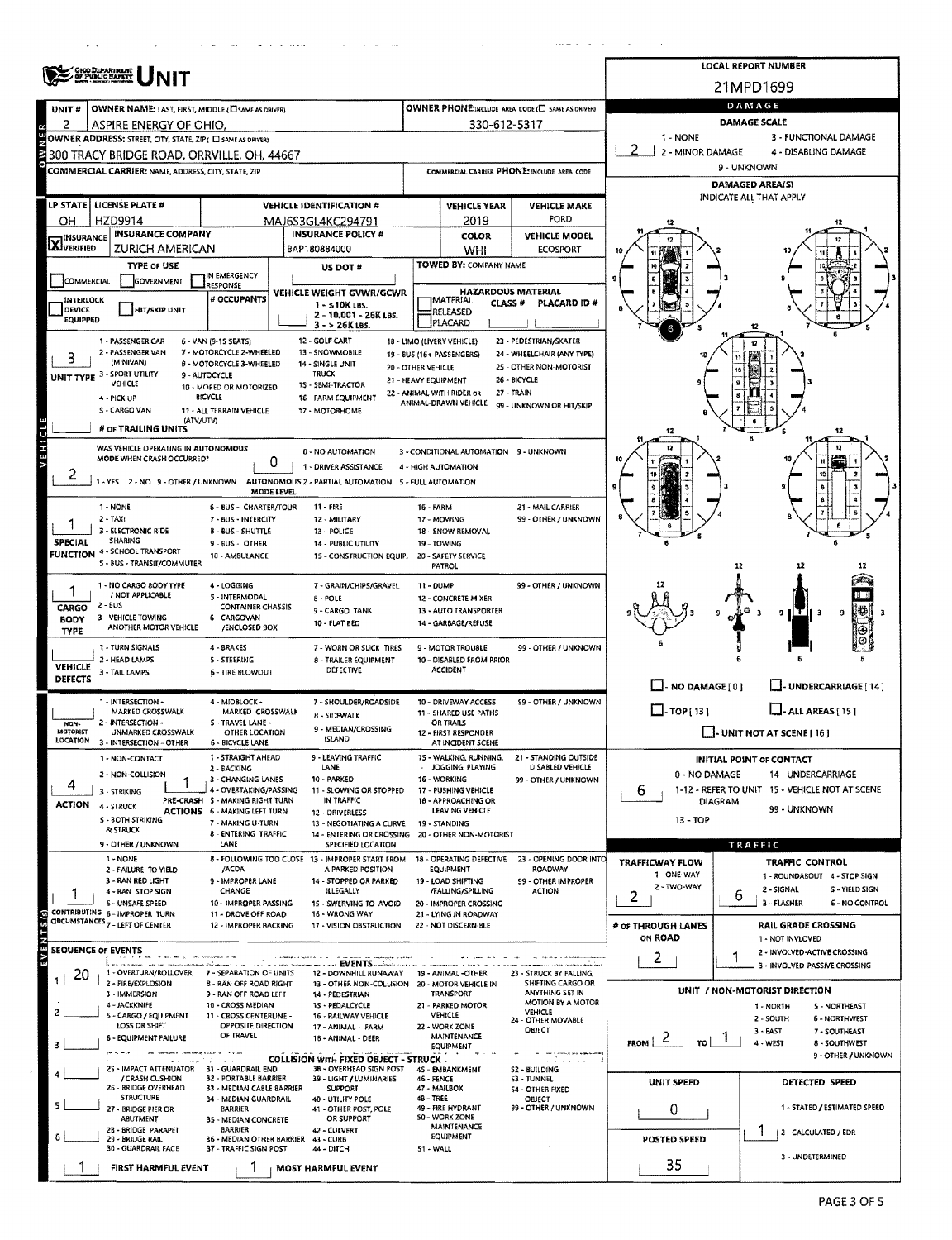|                                   | <b>CHOODEPARTMENT</b><br>OF PUBLIC SAFETY                          |                                                               |                                                                                          |                      |                                                   |                                                                  |                                                     | <b>LOCAL REPORT NUMBER</b>                       |                                |
|-----------------------------------|--------------------------------------------------------------------|---------------------------------------------------------------|------------------------------------------------------------------------------------------|----------------------|---------------------------------------------------|------------------------------------------------------------------|-----------------------------------------------------|--------------------------------------------------|--------------------------------|
|                                   |                                                                    |                                                               |                                                                                          |                      |                                                   |                                                                  |                                                     | 21MPD1699                                        |                                |
| UNIT <sup>#</sup>                 | OWNER NAME: LAST, FIRST, MIDDLE (E) SAME AS DRIVERY                |                                                               |                                                                                          |                      |                                                   | OWNER PHONE:INCLUDE AREA CODE (E) SAME AS ORIVER)                |                                                     | DAMAGE                                           |                                |
| 2                                 | ASPIRE ENERGY OF OHIO,                                             |                                                               |                                                                                          |                      | 330-612-5317                                      |                                                                  |                                                     | DAMAGE SCALE                                     |                                |
|                                   | OWNER ADDRESS: STREET, CITY, STATE, ZIP ( C) SAME AS DRIVERY       |                                                               |                                                                                          |                      |                                                   |                                                                  | 1 - NONE                                            | 3 - FUNCTIONAL DAMAGE                            |                                |
|                                   | 300 TRACY BRIDGE ROAD, ORRVILLE, OH, 44667                         |                                                               |                                                                                          |                      |                                                   |                                                                  | 2 - MINOR DAMAGE                                    | 4 - DISABLING DAMAGE<br>9 - UNKNOWN              |                                |
|                                   | <b>COMMERCIAL CARRIER: NAME, ADDRESS, CITY, STATE, ZIP</b>         |                                                               |                                                                                          |                      |                                                   | COMMERCIAL CARRIER PHONE: INCLUDE AREA CODE                      |                                                     | <b>DAMAGED AREA(S)</b>                           |                                |
|                                   | LP STATE   LICENSE PLATE #                                         |                                                               | <b>VEHICLE IDENTIFICATION #</b>                                                          |                      |                                                   |                                                                  |                                                     | INDICATE ALL THAT APPLY                          |                                |
| OН                                | HZD9914                                                            |                                                               | MAJ6S3GL4KC294791                                                                        |                      | <b>VEHICLE YEAR</b><br>2019                       | <b>VEHICLE MAKE</b><br>FORD                                      |                                                     |                                                  |                                |
|                                   | <b>INSURANCE COMPANY</b>                                           |                                                               | <b>INSURANCE POLICY #</b>                                                                |                      | COLOR                                             | <b>VEHICLE MODEL</b>                                             |                                                     |                                                  |                                |
| <b>X</b> INSURANCE                | ZURICH AMERICAN                                                    |                                                               | BAP180884000                                                                             |                      | WHI                                               | <b>ECOSPORT</b>                                                  |                                                     |                                                  |                                |
|                                   | <b>TYPE OF USE</b>                                                 | IN EMERGENCY                                                  | US DOT #                                                                                 |                      | TOWED BY: COMPANY NAME                            |                                                                  |                                                     |                                                  |                                |
| COMMERCIAL                        | GOVERNMENT                                                         | RESPONSE                                                      | VEHICLE WEIGHT GVWR/GCWR                                                                 |                      | <b>HAZARDOUS MATERIAL</b>                         |                                                                  |                                                     |                                                  |                                |
| <b>INTERLOCK</b><br><b>DEVICE</b> | HIT/SKIP UNIT                                                      | # OCCUPANTS                                                   | $1 - 510K$ LBS.                                                                          |                      | <b>IMATERIAL</b><br>CLASS #<br>RELEASED           | PLACARD ID #                                                     |                                                     |                                                  |                                |
| <b>EQUIPPED</b>                   |                                                                    |                                                               | 2 - 10,001 - 26K LBS.<br>$3 - 26K$ LBS.                                                  |                      | PLACARD                                           |                                                                  |                                                     |                                                  |                                |
|                                   | 1 - PASSENGER CAR                                                  | 6 - VAN (9-15 SEATS)                                          | 12 - GOLF CART                                                                           |                      | 18 - LIMO (LIVERY VEHICLE)                        | 23 - PEDESTRIAN/SKATER                                           |                                                     |                                                  |                                |
| 3                                 | 2 - PASSENGER VAN<br>(MINIVAN)                                     | 7 - MOTORCYCLE 2-WHEELED<br>8 - MOTORCYCLE 3-WHEELED          | 13 - SNOWMOBILE<br>14 - SINGLE UNIT                                                      | 20 - OTHER VEHICLE   | 19 - BUS (16+ PASSENGERS)                         | 24 - WHEELCHAIR (ANY TYPE)<br>25 - OTHER NON-MOTORIST            |                                                     | 炭                                                |                                |
|                                   | UNIT TYPE 3 - SPORT UTILITY<br>VEHICLE                             | 9 - AUTOCYCLE<br>10 - MOPED OR MOTORIZED                      | TRUCK<br>1S - SEMI-TRACTOR                                                               | 21 - HEAVY EQUIPMENT |                                                   | 26 - BICYCLE                                                     |                                                     |                                                  |                                |
|                                   | 4 - PICK UP                                                        | <b>BICYCLE</b>                                                | 16 - FARM EQUIPMENT                                                                      |                      | 22 - ANIMAL WITH RIDER OR<br>ANIMAL-DRAWN VEHICLE | <b>27 - TRAIN</b>                                                |                                                     |                                                  |                                |
|                                   | S - CARGO VAN<br>(ATV/UTV)                                         | 11 - ALL TERRAIN VEHICLE                                      | 17 - MOTORHOME                                                                           |                      |                                                   | 99 - UNKNOWN OR HIT/SKIP                                         |                                                     |                                                  |                                |
| ರ                                 | # OF TRAILING UNITS                                                |                                                               |                                                                                          |                      |                                                   |                                                                  |                                                     |                                                  |                                |
| $\frac{1}{2}$                     | WAS VEHICLE OPERATING IN AUTONOMOUS<br>MODE WHEN CRASH OCCURRED?   |                                                               | 0 - NO AUTOMATION                                                                        |                      | 3 - CONDITIONAL AUTOMATION 9 - UNKNOWN            |                                                                  |                                                     |                                                  |                                |
| 2                                 |                                                                    | 0                                                             | 1 - DRIVER ASSISTANCE                                                                    |                      | 4 - HIGH AUTOMATION                               |                                                                  |                                                     |                                                  |                                |
|                                   |                                                                    | MODE LEVEL                                                    | 1 - YES 2 - NO 9 - OTHER / UNKNOWN AUTONOMOUS 2 - PARTIAL AUTOMATION 5 - FULL AUTOMATION |                      |                                                   |                                                                  |                                                     |                                                  |                                |
|                                   | 1 - NONE                                                           | 6 - BUS - CHARTER/TOUR                                        | 11 - FIRE                                                                                | 16 - FARM            |                                                   | 21 - MAIL CARRIER                                                |                                                     |                                                  |                                |
|                                   | 2 - TAXI<br>3 - ELECTRONIC RIDE                                    | 7 - BUS - INTERCITY<br><b>B-BUS-SHUTTLE</b>                   | 12 - MILITARY<br>13 - POLICE                                                             |                      | 17 - MOWING<br>18 - SNOW REMOVAL                  | 99 - OTHER / UNKNOWN                                             |                                                     |                                                  |                                |
| <b>SPECIAL</b>                    | SHARING                                                            | 9 - BUS - OTHER                                               | 14 - PUBLIC UTILITY                                                                      |                      | 19 - TOWING                                       |                                                                  |                                                     |                                                  |                                |
|                                   | <b>FUNCTION 4 - SCHOOL TRANSPORT</b><br>S - BUS - TRANSIT/COMMUTER | 10 - AMBULANCE                                                | 15 - CONSTRUCTION EQUIP.                                                                 |                      | 20 - SAFETY SERVICE<br>PATROL                     |                                                                  |                                                     | 12                                               |                                |
|                                   | 1 - NO CARGO BODY TYPE                                             | 4 - LOGGING                                                   | 7 - GRAIN/CHIPS/GRAVEL                                                                   | 11 - DUMP            |                                                   | 99 - OTHER / UNKNOWN                                             |                                                     |                                                  |                                |
|                                   | / NOT APPLICABLE                                                   | <b>S-INTERMODAL</b>                                           | $8 - POLE$                                                                               |                      | 12 - CONCRETE MIXER                               |                                                                  |                                                     |                                                  |                                |
| CARGO<br><b>BODY</b>              | $2 - BUS$<br>3 - VEHICLE TOWING                                    | <b>CONTAINER CHASSIS</b><br>6 - CARGOVAN                      | 9 - CARGO TANK<br>10 - FLAT BED                                                          |                      | 13 - AUTO TRANSPORTER                             |                                                                  |                                                     | मा स                                             | 9                              |
| TYPE                              | ANOTHER MOTOR VEHICLE                                              | /ENCLOSED BOX                                                 |                                                                                          |                      | 14 - GARBAGE/REFUSE                               |                                                                  |                                                     |                                                  |                                |
|                                   | 1 - TURN SIGNALS<br>2 - HEAD LAMPS                                 | 4 - BRAKES<br>5 - STEERING                                    | 7 - WORN OR SLICK TIRES<br>8 - TRAILER EQUIPMENT                                         |                      | 9 - MOTOR TROUBLE<br>10 - DISABLED FROM PRIOR     | 99 - OTHER / UNKNOWN                                             |                                                     |                                                  |                                |
| VEHICLE<br><b>DEFECTS</b>         | 3 - TAIL LAMPS                                                     | 6 - TIRE BLOWOUT                                              | <b>DEFECTIVE</b>                                                                         |                      | ACCIDENT                                          |                                                                  |                                                     |                                                  |                                |
|                                   |                                                                    |                                                               |                                                                                          |                      |                                                   |                                                                  | $\Box$ - NO DAMAGE [ 0 ]                            | J-UNDERCARRIAGE [14]                             |                                |
|                                   | 1 - INTERSECTION -<br>MARKED CROSSWALK                             | 4 - MIDBLOCK -<br>MARKED CROSSWALK                            | 7 - SHOULDER/ROADSIDE<br>8 - SIDEWALK                                                    |                      | 10 - DRIVEWAY ACCESS<br>11 - SHARED USE PATHS     | 99 - OTHER / UNKNOWN                                             | $\Box$ -TOP(13)                                     | L. - ALL AREAS [15]                              |                                |
| NON-<br><b>MOTORIST</b>           | 2 - INTERSECTION -<br>UNMARKED CROSSWALK                           | <b>S-TRAVEL LANE -</b><br>OTHER LOCATION                      | 9 - MEDIAN/CROSSING                                                                      |                      | OR TRAILS<br>12 - FIRST RESPONDER                 |                                                                  |                                                     | $\Box$ - UNIT NOT AT SCENE [16]                  |                                |
| LOCATION                          | 3 - INTERSECTION - OTHER                                           | 6 - BICYCLE LANE                                              | ISLAND                                                                                   |                      | AT INCIDENT SCENE                                 |                                                                  |                                                     |                                                  |                                |
|                                   | - NON-CONTACT                                                      | 1 - STRAIGHT AHEAD<br>2 - BACKING                             | 9 - LEAVING TRAFFIC<br>LANE                                                              |                      | · JOGGING, PLAYING                                | 15 - WALKING, RUNNING. 21 - STANDING OUTSIDE<br>DISABLED VEHICLE |                                                     | <b>INITIAL POINT OF CONTACT</b>                  |                                |
|                                   | 2 - NON-COLLISION                                                  | 3 - CHANGING LANES                                            | 10 - PARKED                                                                              |                      | 16 - WORKING                                      | 99 - OTHER / UNKNOWN                                             | 0 - NO DAMAGE                                       | 14 - UNDERCARRIAGE                               |                                |
| ACTION                            | 3 - STRIKING<br>4 - STRUCK                                         | 4 - OVERTAKING/PASSING<br>PRE-CRASH S - MAKING RIGHT TURN     | 11 - SLOWING OR STOPPED<br>IN TRAFFIC                                                    |                      | 17 - PUSHING VEHICLE<br>18 - APPROACHING OR       |                                                                  | 6.<br><b>DIAGRAM</b>                                | 1-12 - REFER TO UNIT 15 - VEHICLE NOT AT SCENE   |                                |
|                                   | <b>5 - BOTH STRIKING</b>                                           | ACTIONS 6 - MAKING LEFT TURN<br>7 - MAKING U-TURN             | 12 - DRIVERLESS<br>13 - NEGOTIATING A CURVE                                              |                      | LEAVING VEHICLE<br>19 - STANDING                  |                                                                  | 13 - TOP                                            | 99 - UNKNOWN                                     |                                |
|                                   | & STRUCK                                                           | <b>8 - ENTERING TRAFFIC</b>                                   | 14 - ENTERING OR CROSSING                                                                |                      | 20 - OTHER NON-MOTORIST                           |                                                                  |                                                     |                                                  |                                |
|                                   | 9 - OTHER / UNKNOWN<br>1 - NONE                                    | LANE                                                          | SPECIFIED LOCATION<br>8 - FOLLOWING TOO CLOSE 13 - IMPROPER START FROM                   |                      | 18 - OPERATING DEFECTIVE                          | 23 - OPENING DOOR INTO                                           |                                                     | TRAFFIC<br><b>TRAFFIC CONTROL</b>                |                                |
|                                   | 2 - FAILURE TO YIELD<br>3 - RAN RED LIGHT                          | /ACDA<br>9 - IMPROPER LANE                                    | A PARKED POSITION<br>14 - STOPPED OR PARKED                                              |                      | EQUIPMENT<br>19 - LOAD SHIFTING                   | ROADWAY<br>99 - OTHER IMPROPER                                   | TRAFFICWAY FLOW<br>1 - ONE-WAY                      | 1 - ROUNDABOUT 4 - STOP SIGN                     |                                |
|                                   | 4 - RAN STOP SIGN                                                  | CHANGE                                                        | ILLEGALLY                                                                                |                      | /FALUNG/SPILLING                                  | <b>ACTION</b>                                                    | 2 - TWO-WAY<br>2                                    | 2 - SIGNAL<br>6                                  | S - YIELD SIGN                 |
|                                   | 5 - UNSAFE SPEED<br>CONTRIBUTING 6 - IMPROPER TURN                 | 10 - IMPROPER PASSING<br>11 - DROVE OFF ROAD                  | 15 - SWERVING TO AVOID<br>16 - WRONG WAY                                                 |                      | 20 - IMPROPER CROSSING<br>21 - LYING IN ROADWAY   |                                                                  |                                                     | 3 - FLASHER                                      | 6 - NO CONTROL                 |
|                                   | CIRCUMSTANCES 7 - LEFT OF CENTER                                   | 12 - IMPROPER BACKING                                         | 17 - VISION OBSTRUCTION                                                                  |                      | 22 - NOT DISCERNIBLE                              |                                                                  | # of THROUGH LANES                                  | <b>RAIL GRADE CROSSING</b>                       |                                |
|                                   | <b>SEQUENCE OF EVENTS</b>                                          |                                                               |                                                                                          |                      |                                                   |                                                                  | ON ROAD                                             | 1 - NOT INVLOVED<br>2 - INVOLVED-ACTIVE CROSSING |                                |
|                                   |                                                                    |                                                               |                                                                                          |                      |                                                   |                                                                  | 2                                                   | 3 - INVOLVED-PASSIVE CROSSING                    |                                |
| 20                                | 1 - OVERTURN/ROLLOVER<br>2 - FIRE/EXPLOSION                        | 7 - SEPARATION OF UNITS<br>8 - RAN OFF ROAD RIGHT             | 12 - DOWNHILL RUNAWAY<br>13 - OTHER NON-COLLISION 20 - MOTOR VEHICLE IN                  |                      | 19 - ANIMAL -OTHER                                | 23 - STRUCK BY FALLING,<br><b>SHIFTING CARGO OR</b>              |                                                     | UNIT / NON-MOTORIST DIRECTION                    |                                |
|                                   | 3 - IMMERSION<br>4 - JACKKNIFE                                     | 9 - RAN OFF ROAD LEFT<br>10 - CROSS MEDIAN                    | 14 - PEDESTRIAN<br>15 - PEDALCYCLE                                                       |                      | <b>TRANSPORT</b><br>21 - PARKED MOTOR             | ANYTHING SET IN<br>MOTION BY A MOTOR                             |                                                     | 1 - NORTH                                        | 5 - NORTHEAST                  |
|                                   | 5 - CARGO / EQUIPMENT<br>LOSS OR SHIFT                             | 11 - CROSS CENTERLINE -<br>OPPOSITE DIRECTION                 | 16 - RAILWAY VEHICLE                                                                     |                      | VEHICLE<br>22 - WORK ZONE                         | <b>VEHICLE</b><br>24 - OTHER MOVABLE                             |                                                     | 2 - SOUTH                                        | 6 - NORTHWEST                  |
|                                   | 6 - EQUIPMENT FAILURE                                              | OF TRAVEL                                                     | 17 - ANIMAL - FARM<br>18 - ANIMAL - DEER                                                 |                      | <b>MAINTENANCE</b>                                | OBJECT                                                           | $F_{ROM}$ $\sim$ $\mid$ $\mid$ $\mid$ $\mid$ $\mid$ | $3 - EAST$<br>4 - WEST                           | 7 - SOUTHEAST<br>8 - SOUTHWEST |
| з                                 |                                                                    |                                                               | <b>COLLISION WITH FIXED OBJECT - STRUCK.</b>                                             |                      | EQUIPMENT                                         |                                                                  |                                                     |                                                  | 9 - OTHER / UNKNOWN            |
|                                   | 25 - IMPACT ATTENUATOR 31 - GUARDRAIL END<br>/ CRASH CUSHION       | 32 - PORTABLE BARRIER                                         | 38 - OVERHEAD SIGN POST<br>39 - LIGHT / LUMINARIES                                       | 46 - FENCE           | 45 - EMBANKMENT                                   | S2 - BUILDING<br>S3 - TUNNEL                                     |                                                     |                                                  |                                |
|                                   | 26 - BRIDGE OVERHEAD<br><b>STRUCTURE</b>                           | 33 - MEDIAN CABLE BARRIER                                     | <b>SUPPORT</b><br>40 - UTILITY POLE                                                      | 48 - TREE            | 47 - MAILBOX                                      | 54 - OTHER FIXED                                                 | <b>UNIT SPEED</b>                                   | DETECTED SPEED                                   |                                |
|                                   | 27 - BRIDGE PIER OR                                                | 34 - MEDIAN GUARDRAIL<br><b>BARRIER</b>                       | 41 - OTHER POST, POLE                                                                    |                      | 49 - FIRE HYDRANT                                 | OBJECT<br>99 - OTHER / UNKNOWN                                   | 0                                                   |                                                  | 1 - STATED / ESTIMATED SPEED   |
|                                   | <b>ABUTMENT</b><br>28 - BRIDGE PARAPET                             | 35 - MEDIAN CONCRETE<br><b>BARRIER</b>                        | OR SUPPORT<br>42 - CULVERT                                                               |                      | 50 - WORK ZONE<br><b>MAINTENANCE</b>              |                                                                  |                                                     | 2 - CALCULATED / EDR                             |                                |
|                                   | 29 - BRIDGE RAIL<br>30 - GUARDRAIL FACE                            | 36 - MEDIAN OTHER BARRIER 43 - CURB<br>37 - TRAFFIC SIGN POST | 44 - DITCH                                                                               | 51 - WALL            | EQUIPMENT                                         |                                                                  | POSTED SPEED                                        |                                                  |                                |
|                                   | FIRST HARMFUL EVENT                                                |                                                               | MOST HARMFUL EVENT                                                                       |                      |                                                   |                                                                  | 35                                                  | 3 - UNDETERMINED                                 |                                |
|                                   |                                                                    |                                                               |                                                                                          |                      |                                                   |                                                                  |                                                     |                                                  |                                |

 $\sim$   $\sim$  $\overline{a}$